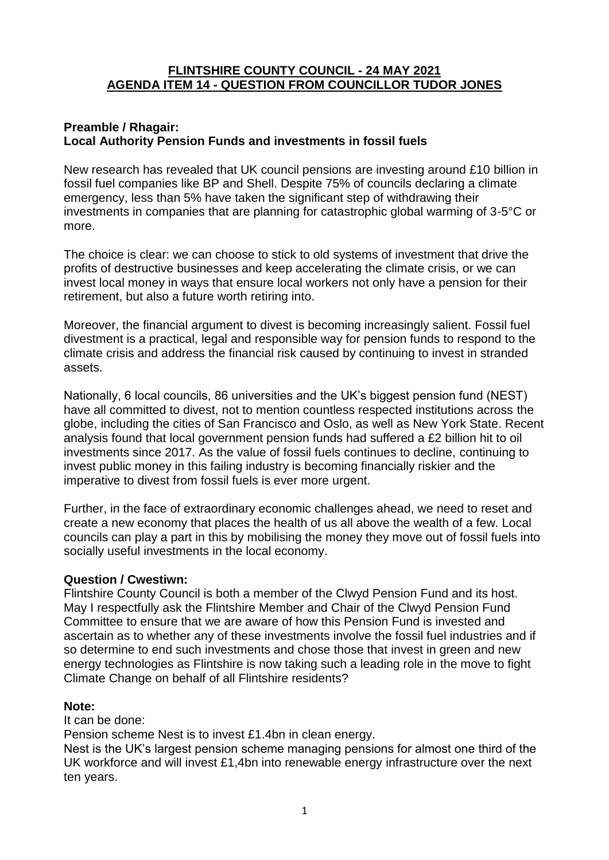### **FLINTSHIRE COUNTY COUNCIL - 24 MAY 2021 AGENDA ITEM 14 - QUESTION FROM COUNCILLOR TUDOR JONES**

## **Preamble / Rhagair: Local Authority Pension Funds and investments in fossil fuels**

New research has revealed that UK council pensions are investing around £10 billion in fossil fuel companies like BP and Shell. Despite 75% of councils declaring a climate emergency, less than 5% have taken the significant step of withdrawing their investments in companies that are planning for catastrophic global warming of 3-5°C or more.

The choice is clear: we can choose to stick to old systems of investment that drive the profits of destructive businesses and keep accelerating the climate crisis, or we can invest local money in ways that ensure local workers not only have a pension for their retirement, but also a future worth retiring into.

Moreover, the financial argument to divest is becoming increasingly salient. Fossil fuel divestment is a practical, legal and responsible way for pension funds to respond to the climate crisis and address the financial risk caused by continuing to invest in stranded assets.

Nationally, 6 local councils, 86 universities and the UK's biggest pension fund (NEST) have all committed to divest, not to mention countless respected institutions across the globe, including the cities of San Francisco and Oslo, as well as New York State. Recent analysis found that local government pension funds had suffered a £2 billion hit to oil investments since 2017. As the value of fossil fuels continues to decline, continuing to invest public money in this failing industry is becoming financially riskier and the imperative to divest from fossil fuels is ever more urgent.

Further, in the face of extraordinary economic challenges ahead, we need to reset and create a new economy that places the health of us all above the wealth of a few. Local councils can play a part in this by mobilising the money they move out of fossil fuels into socially useful investments in the local economy.

### **Question / Cwestiwn:**

Flintshire County Council is both a member of the Clwyd Pension Fund and its host. May I respectfully ask the Flintshire Member and Chair of the Clwyd Pension Fund Committee to ensure that we are aware of how this Pension Fund is invested and ascertain as to whether any of these investments involve the fossil fuel industries and if so determine to end such investments and chose those that invest in green and new energy technologies as Flintshire is now taking such a leading role in the move to fight Climate Change on behalf of all Flintshire residents?

### **Note:**

It can be done:

Pension scheme Nest is to invest £1.4bn in clean energy.

Nest is the UK's largest pension scheme managing pensions for almost one third of the UK workforce and will invest £1,4bn into renewable energy infrastructure over the next ten years.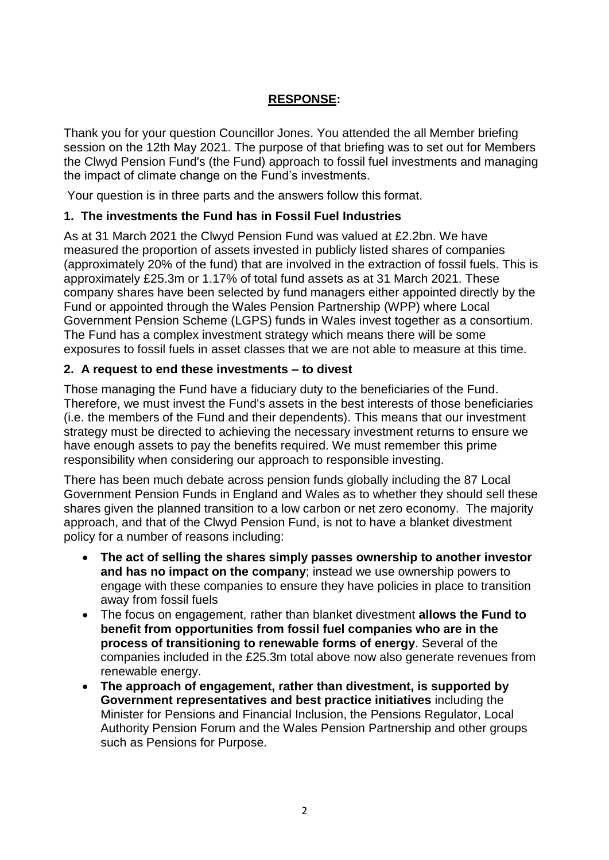## **RESPONSE:**

Thank you for your question Councillor Jones. You attended the all Member briefing session on the 12th May 2021. The purpose of that briefing was to set out for Members the Clwyd Pension Fund's (the Fund) approach to fossil fuel investments and managing the impact of climate change on the Fund's investments.

Your question is in three parts and the answers follow this format.

## **1. The investments the Fund has in Fossil Fuel Industries**

As at 31 March 2021 the Clwyd Pension Fund was valued at £2.2bn. We have measured the proportion of assets invested in publicly listed shares of companies (approximately 20% of the fund) that are involved in the extraction of fossil fuels. This is approximately £25.3m or 1.17% of total fund assets as at 31 March 2021. These company shares have been selected by fund managers either appointed directly by the Fund or appointed through the Wales Pension Partnership (WPP) where Local Government Pension Scheme (LGPS) funds in Wales invest together as a consortium. The Fund has a complex investment strategy which means there will be some exposures to fossil fuels in asset classes that we are not able to measure at this time.

## **2. A request to end these investments – to divest**

Those managing the Fund have a fiduciary duty to the beneficiaries of the Fund. Therefore, we must invest the Fund's assets in the best interests of those beneficiaries (i.e. the members of the Fund and their dependents). This means that our investment strategy must be directed to achieving the necessary investment returns to ensure we have enough assets to pay the benefits required. We must remember this prime responsibility when considering our approach to responsible investing.

There has been much debate across pension funds globally including the 87 Local Government Pension Funds in England and Wales as to whether they should sell these shares given the planned transition to a low carbon or net zero economy. The majority approach, and that of the Clwyd Pension Fund, is not to have a blanket divestment policy for a number of reasons including:

- **The act of selling the shares simply passes ownership to another investor and has no impact on the company**; instead we use ownership powers to engage with these companies to ensure they have policies in place to transition away from fossil fuels
- The focus on engagement, rather than blanket divestment **allows the Fund to benefit from opportunities from fossil fuel companies who are in the process of transitioning to renewable forms of energy**. Several of the companies included in the £25.3m total above now also generate revenues from renewable energy.
- **The approach of engagement, rather than divestment, is supported by Government representatives and best practice initiatives** including the Minister for Pensions and Financial Inclusion, the Pensions Regulator, Local Authority Pension Forum and the Wales Pension Partnership and other groups such as Pensions for Purpose.